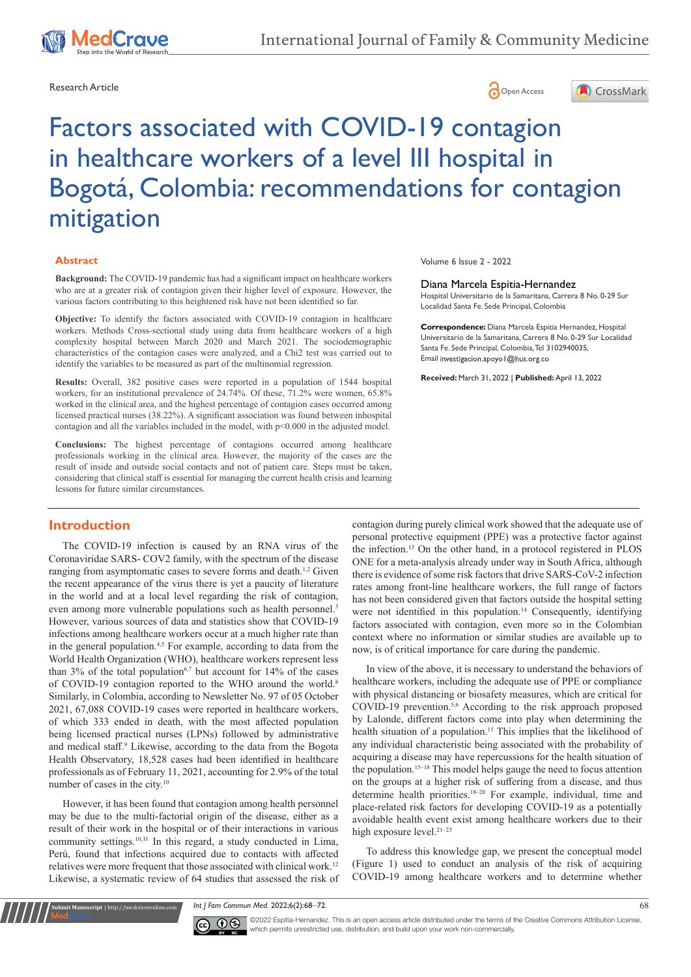





# Factors associated with COVID-19 contagion in healthcare workers of a level III hospital in Bogotá, Colombia: recommendations for contagion mitigation

#### **Abstract**

**Background:** The COVID-19 pandemic has had a significant impact on healthcare workers who are at a greater risk of contagion given their higher level of exposure. However, the various factors contributing to this heightened risk have not been identified so far.

**Objective:** To identify the factors associated with COVID-19 contagion in healthcare workers. Methods Cross-sectional study using data from healthcare workers of a high complexity hospital between March 2020 and March 2021. The sociodemographic characteristics of the contagion cases were analyzed, and a Chi2 test was carried out to identify the variables to be measured as part of the multinomial regression.

**Results:** Overall, 382 positive cases were reported in a population of 1544 hospital workers, for an institutional prevalence of 24.74%. Of these, 71.2% were women, 65.8% worked in the clinical area, and the highest percentage of contagion cases occurred among licensed practical nurses (38.22%). A significant association was found between inhospital contagion and all the variables included in the model, with p<0.000 in the adjusted model.

**Conclusions:** The highest percentage of contagions occurred among healthcare professionals working in the clinical area. However, the majority of the cases are the result of inside and outside social contacts and not of patient care. Steps must be taken, considering that clinical staff is essential for managing the current health crisis and learning lessons for future similar circumstances.

# **Introduction**

The COVID-19 infection is caused by an RNA virus of the Coronaviridae SARS- COV2 family, with the spectrum of the disease ranging from asymptomatic cases to severe forms and death.<sup>1,2</sup> Given the recent appearance of the virus there is yet a paucity of literature in the world and at a local level regarding the risk of contagion, even among more vulnerable populations such as health personnel.<sup>3</sup> However, various sources of data and statistics show that COVID-19 infections among healthcare workers occur at a much higher rate than in the general population.<sup>4,5</sup> For example, according to data from the World Health Organization (WHO), healthcare workers represent less than  $3\%$  of the total population<sup>6,7</sup> but account for  $14\%$  of the cases of COVID-19 contagion reported to the WHO around the world.<sup>8</sup> Similarly, in Colombia, according to Newsletter No. 97 of 05 October 2021, 67,088 COVID-19 cases were reported in healthcare workers, of which 333 ended in death, with the most affected population being licensed practical nurses (LPNs) followed by administrative and medical staff.<sup>9</sup> Likewise, according to the data from the Bogota Health Observatory, 18,528 cases had been identified in healthcare professionals as of February 11, 2021, accounting for 2.9% of the total number of cases in the city.10

However, it has been found that contagion among health personnel may be due to the multi-factorial origin of the disease, either as a result of their work in the hospital or of their interactions in various community settings.10,11 In this regard, a study conducted in Lima, Perú, found that infections acquired due to contacts with affected relatives were more frequent that those associated with clinical work.12 Likewise, a systematic review of 64 studies that assessed the risk of

**Krit Manuscript** | http://medcraveonline.c

Volume 6 Issue 2 - 2022

#### Diana Marcela Espitia-Hernandez

Hospital Universitario de la Samaritana, Carrera 8 No. 0-29 Sur Localidad Santa Fe. Sede Principal, Colombia

**Correspondence:** Diana Marcela Espitia Hernandez, Hospital Universitario de la Samaritana, Carrera 8 No. 0-29 Sur Localidad Santa Fe. Sede Principal, Colombia, Tel 3102940035, Email investigacion.apoyo | @hus.org.co

**Received:** March 31, 2022 | **Published:** April 13, 2022

contagion during purely clinical work showed that the adequate use of personal protective equipment (PPE) was a protective factor against the infection.13 On the other hand, in a protocol registered in PLOS ONE for a meta-analysis already under way in South Africa, although there is evidence of some risk factors that drive SARS-CoV-2 infection rates among front-line healthcare workers, the full range of factors has not been considered given that factors outside the hospital setting were not identified in this population.<sup>14</sup> Consequently, identifying factors associated with contagion, even more so in the Colombian context where no information or similar studies are available up to now, is of critical importance for care during the pandemic.

In view of the above, it is necessary to understand the behaviors of healthcare workers, including the adequate use of PPE or compliance with physical distancing or biosafety measures, which are critical for COVID-19 prevention.5,6 According to the risk approach proposed by Lalonde, different factors come into play when determining the health situation of a population.<sup>15</sup> This implies that the likelihood of any individual characteristic being associated with the probability of acquiring a disease may have repercussions for the health situation of the population.15–18 This model helps gauge the need to focus attention on the groups at a higher risk of suffering from a disease, and thus determine health priorities.18–20 For example, individual, time and place-related risk factors for developing COVID-19 as a potentially avoidable health event exist among healthcare workers due to their high exposure level.<sup>21-23</sup>

To address this knowledge gap, we present the conceptual model (Figure 1) used to conduct an analysis of the risk of acquiring COVID-19 among healthcare workers and to determine whether

*Int J Fam Commun Med.* 2022;6(2):68‒72. 68



©2022 Espitia-Hernandez. This is an open access article distributed under the terms of the Creative Commons Attribution License, which permits unrestricted use, distribution, and build upon your work non-commercially.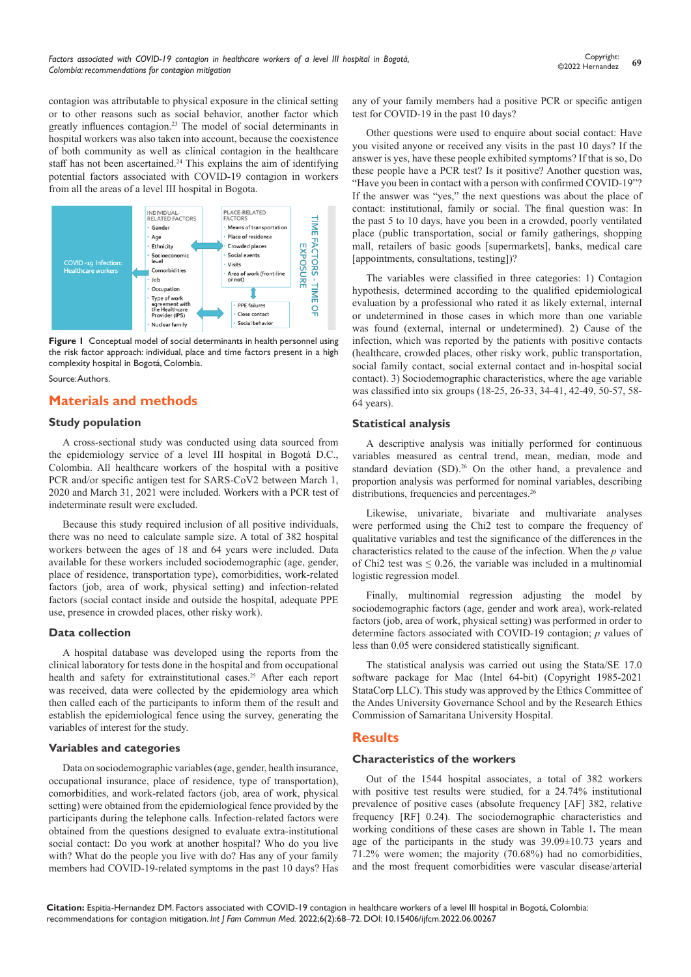contagion was attributable to physical exposure in the clinical setting or to other reasons such as social behavior, another factor which greatly influences contagion.23 The model of social determinants in hospital workers was also taken into account, because the coexistence of both community as well as clinical contagion in the healthcare staff has not been ascertained.<sup>24</sup> This explains the aim of identifying potential factors associated with COVID-19 contagion in workers from all the areas of a level III hospital in Bogota.



**Figure 1** Conceptual model of social determinants in health personnel using the risk factor approach: individual, place and time factors present in a high complexity hospital in Bogotá, Colombia.

Source: Authors.

# **Materials and methods**

## **Study population**

A cross-sectional study was conducted using data sourced from the epidemiology service of a level III hospital in Bogotá D.C., Colombia. All healthcare workers of the hospital with a positive PCR and/or specific antigen test for SARS-CoV2 between March 1, 2020 and March 31, 2021 were included. Workers with a PCR test of indeterminate result were excluded.

Because this study required inclusion of all positive individuals, there was no need to calculate sample size. A total of 382 hospital workers between the ages of 18 and 64 years were included. Data available for these workers included sociodemographic (age, gender, place of residence, transportation type), comorbidities, work-related factors (job, area of work, physical setting) and infection-related factors (social contact inside and outside the hospital, adequate PPE use, presence in crowded places, other risky work).

## **Data collection**

A hospital database was developed using the reports from the clinical laboratory for tests done in the hospital and from occupational health and safety for extrainstitutional cases.<sup>25</sup> After each report was received, data were collected by the epidemiology area which then called each of the participants to inform them of the result and establish the epidemiological fence using the survey, generating the variables of interest for the study.

## **Variables and categories**

Data on sociodemographic variables (age, gender, health insurance, occupational insurance, place of residence, type of transportation), comorbidities, and work-related factors (job, area of work, physical setting) were obtained from the epidemiological fence provided by the participants during the telephone calls. Infection-related factors were obtained from the questions designed to evaluate extra-institutional social contact: Do you work at another hospital? Who do you live with? What do the people you live with do? Has any of your family members had COVID-19-related symptoms in the past 10 days? Has any of your family members had a positive PCR or specific antigen test for COVID-19 in the past 10 days?

Other questions were used to enquire about social contact: Have you visited anyone or received any visits in the past 10 days? If the answer is yes, have these people exhibited symptoms? If that is so, Do these people have a PCR test? Is it positive? Another question was, "Have you been in contact with a person with confirmed COVID-19"? If the answer was "yes," the next questions was about the place of contact: institutional, family or social. The final question was: In the past 5 to 10 days, have you been in a crowded, poorly ventilated place (public transportation, social or family gatherings, shopping mall, retailers of basic goods [supermarkets], banks, medical care [appointments, consultations, testing])?

The variables were classified in three categories: 1) Contagion hypothesis, determined according to the qualified epidemiological evaluation by a professional who rated it as likely external, internal or undetermined in those cases in which more than one variable was found (external, internal or undetermined). 2) Cause of the infection, which was reported by the patients with positive contacts (healthcare, crowded places, other risky work, public transportation, social family contact, social external contact and in-hospital social contact). 3) Sociodemographic characteristics, where the age variable was classified into six groups (18-25, 26-33, 34-41, 42-49, 50-57, 58- 64 years).

## **Statistical analysis**

A descriptive analysis was initially performed for continuous variables measured as central trend, mean, median, mode and standard deviation (SD).<sup>26</sup> On the other hand, a prevalence and proportion analysis was performed for nominal variables, describing distributions, frequencies and percentages.<sup>26</sup>

Likewise, univariate, bivariate and multivariate analyses were performed using the Chi2 test to compare the frequency of qualitative variables and test the significance of the differences in the characteristics related to the cause of the infection. When the *p* value of Chi2 test was  $\leq 0.26$ , the variable was included in a multinomial logistic regression model.

Finally, multinomial regression adjusting the model by sociodemographic factors (age, gender and work area), work-related factors (job, area of work, physical setting) was performed in order to determine factors associated with COVID-19 contagion; *p* values of less than 0.05 were considered statistically significant.

The statistical analysis was carried out using the Stata/SE 17.0 software package for Mac (Intel 64-bit) (Copyright 1985-2021 StataCorp LLC). This study was approved by the Ethics Committee of the Andes University Governance School and by the Research Ethics Commission of Samaritana University Hospital.

## **Results**

## **Characteristics of the workers**

Out of the 1544 hospital associates, a total of 382 workers with positive test results were studied, for a 24.74% institutional prevalence of positive cases (absolute frequency [AF] 382, relative frequency [RF] 0.24). The sociodemographic characteristics and working conditions of these cases are shown in Table 1**.** The mean age of the participants in the study was 39.09±10.73 years and 71.2% were women; the majority (70.68%) had no comorbidities, and the most frequent comorbidities were vascular disease/arterial

**Citation:** Espitia-Hernandez DM. Factors associated with COVID-19 contagion in healthcare workers of a level III hospital in Bogotá, Colombia: recommendations for contagion mitigation. *Int J Fam Commun Med.* 2022;6(2):68‒72. DOI: [10.15406/ijfcm.2022.06.00267](https://doi.org/10.15406/ijfcm.2022.06.00267)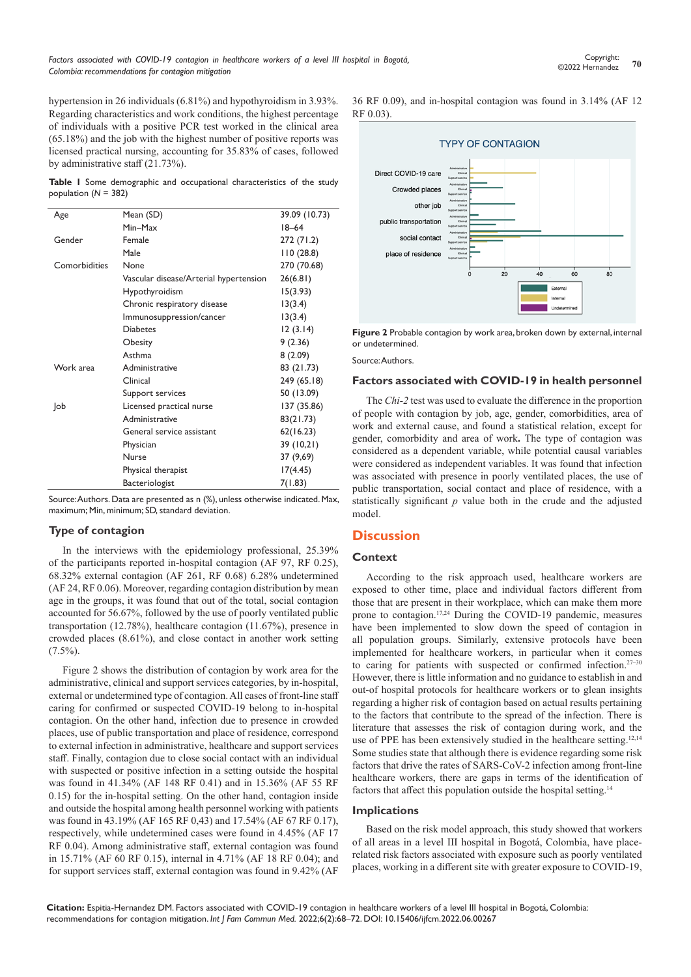hypertension in 26 individuals (6.81%) and hypothyroidism in 3.93%. Regarding characteristics and work conditions, the highest percentage of individuals with a positive PCR test worked in the clinical area (65.18%) and the job with the highest number of positive reports was licensed practical nursing, accounting for 35.83% of cases, followed by administrative staff (21.73%).

**Table 1** Some demographic and occupational characteristics of the study population (*N* = 382)

| Age           | Mean (SD)                              | 39.09 (10.73) |
|---------------|----------------------------------------|---------------|
|               | Min-Max                                | $18 - 64$     |
| Gender        | Female                                 | 272 (71.2)    |
|               | Male                                   | 110(28.8)     |
| Comorbidities | None                                   | 270 (70.68)   |
|               | Vascular disease/Arterial hypertension | 26(6.81)      |
|               | Hypothyroidism                         | 15(3.93)      |
|               | Chronic respiratory disease            | 13(3.4)       |
|               | Immunosuppression/cancer               | 13(3.4)       |
|               | <b>Diabetes</b>                        | 12(3.14)      |
|               | Obesity                                | 9(2.36)       |
|               | Asthma                                 | 8(2.09)       |
| Work area     | Administrative                         | 83 (21.73)    |
|               | Clinical                               | 249 (65.18)   |
|               | Support services                       | 50 (13.09)    |
| Job           | Licensed practical nurse               | 137 (35.86)   |
|               | Administrative                         | 83(21.73)     |
|               | General service assistant              | 62(16.23)     |
|               | Physician                              | 39 (10,21)    |
|               | Nurse                                  | 37 (9,69)     |
|               | Physical therapist                     | 17(4.45)      |
|               | Bacteriologist                         | 7(1.83)       |

Source: Authors. Data are presented as n (%), unless otherwise indicated. Max, maximum; Min, minimum; SD, standard deviation.

# **Type of contagion**

In the interviews with the epidemiology professional, 25.39% of the participants reported in-hospital contagion (AF 97, RF 0.25), 68.32% external contagion (AF 261, RF 0.68) 6.28% undetermined (AF 24, RF 0.06). Moreover, regarding contagion distribution by mean age in the groups, it was found that out of the total, social contagion accounted for 56.67%, followed by the use of poorly ventilated public transportation (12.78%), healthcare contagion (11.67%), presence in crowded places (8.61%), and close contact in another work setting  $(7.5\%)$ .

Figure 2 shows the distribution of contagion by work area for the administrative, clinical and support services categories, by in-hospital, external or undetermined type of contagion. All cases of front-line staff caring for confirmed or suspected COVID-19 belong to in-hospital contagion. On the other hand, infection due to presence in crowded places, use of public transportation and place of residence, correspond to external infection in administrative, healthcare and support services staff. Finally, contagion due to close social contact with an individual with suspected or positive infection in a setting outside the hospital was found in 41.34% (AF 148 RF 0.41) and in 15.36% (AF 55 RF 0.15) for the in-hospital setting. On the other hand, contagion inside and outside the hospital among health personnel working with patients was found in 43.19% (AF 165 RF 0,43) and 17.54% (AF 67 RF 0.17), respectively, while undetermined cases were found in 4.45% (AF 17 RF 0.04). Among administrative staff, external contagion was found in 15.71% (AF 60 RF 0.15), internal in 4.71% (AF 18 RF 0.04); and for support services staff, external contagion was found in 9.42% (AF

36 RF 0.09), and in-hospital contagion was found in 3.14% (AF 12 RF 0.03).



**Figure 2** Probable contagion by work area, broken down by external, internal or undetermined.

Source: Authors.

#### **Factors associated with COVID-19 in health personnel**

The *Chi-2* test was used to evaluate the difference in the proportion of people with contagion by job, age, gender, comorbidities, area of work and external cause, and found a statistical relation, except for gender, comorbidity and area of work**.** The type of contagion was considered as a dependent variable, while potential causal variables were considered as independent variables. It was found that infection was associated with presence in poorly ventilated places, the use of public transportation, social contact and place of residence, with a statistically significant *p* value both in the crude and the adjusted model.

# **Discussion**

## **Context**

According to the risk approach used, healthcare workers are exposed to other time, place and individual factors different from those that are present in their workplace, which can make them more prone to contagion.17,24 During the COVID-19 pandemic, measures have been implemented to slow down the speed of contagion in all population groups. Similarly, extensive protocols have been implemented for healthcare workers, in particular when it comes to caring for patients with suspected or confirmed infection.<sup>27-30</sup> However, there is little information and no guidance to establish in and out-of hospital protocols for healthcare workers or to glean insights regarding a higher risk of contagion based on actual results pertaining to the factors that contribute to the spread of the infection. There is literature that assesses the risk of contagion during work, and the use of PPE has been extensively studied in the healthcare setting.<sup>12,14</sup> Some studies state that although there is evidence regarding some risk factors that drive the rates of SARS-CoV-2 infection among front-line healthcare workers, there are gaps in terms of the identification of factors that affect this population outside the hospital setting.<sup>14</sup>

## **Implications**

Based on the risk model approach, this study showed that workers of all areas in a level III hospital in Bogotá, Colombia, have placerelated risk factors associated with exposure such as poorly ventilated places, working in a different site with greater exposure to COVID-19,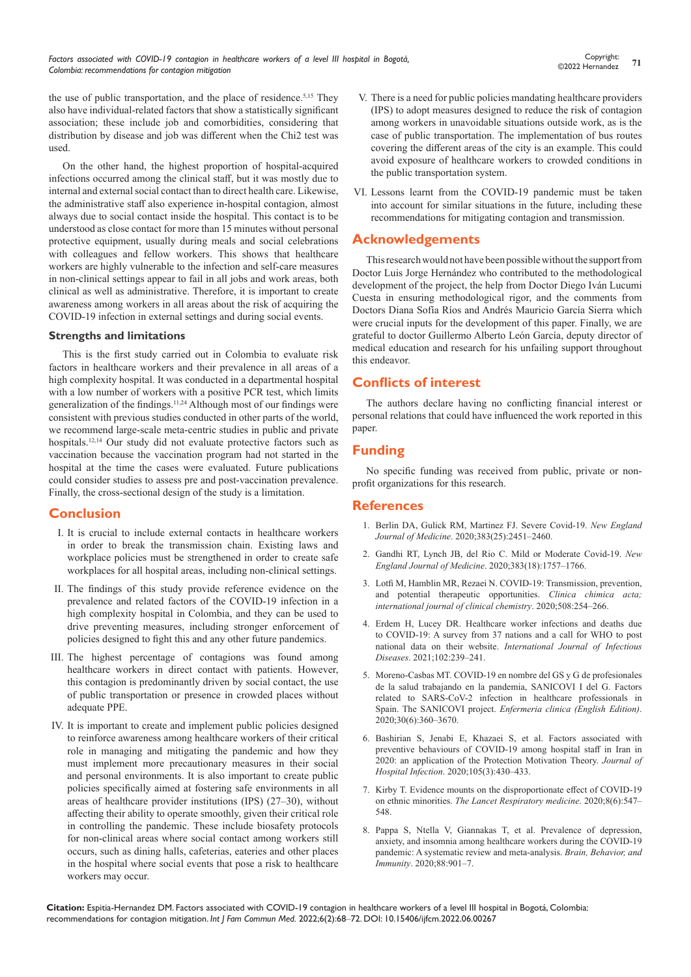the use of public transportation, and the place of residence.<sup>5,15</sup> They also have individual-related factors that show a statistically significant association; these include job and comorbidities, considering that distribution by disease and job was different when the Chi2 test was used.

On the other hand, the highest proportion of hospital-acquired infections occurred among the clinical staff, but it was mostly due to internal and external social contact than to direct health care. Likewise, the administrative staff also experience in-hospital contagion, almost always due to social contact inside the hospital. This contact is to be understood as close contact for more than 15 minutes without personal protective equipment, usually during meals and social celebrations with colleagues and fellow workers. This shows that healthcare workers are highly vulnerable to the infection and self-care measures in non-clinical settings appear to fail in all jobs and work areas, both clinical as well as administrative. Therefore, it is important to create awareness among workers in all areas about the risk of acquiring the COVID-19 infection in external settings and during social events.

## **Strengths and limitations**

This is the first study carried out in Colombia to evaluate risk factors in healthcare workers and their prevalence in all areas of a high complexity hospital. It was conducted in a departmental hospital with a low number of workers with a positive PCR test, which limits generalization of the findings.11,24 Although most of our findings were consistent with previous studies conducted in other parts of the world, we recommend large-scale meta-centric studies in public and private hospitals.12,14 Our study did not evaluate protective factors such as vaccination because the vaccination program had not started in the hospital at the time the cases were evaluated. Future publications could consider studies to assess pre and post-vaccination prevalence. Finally, the cross-sectional design of the study is a limitation.

# **Conclusion**

- I. It is crucial to include external contacts in healthcare workers in order to break the transmission chain. Existing laws and workplace policies must be strengthened in order to create safe workplaces for all hospital areas, including non-clinical settings.
- II. The findings of this study provide reference evidence on the prevalence and related factors of the COVID-19 infection in a high complexity hospital in Colombia, and they can be used to drive preventing measures, including stronger enforcement of policies designed to fight this and any other future pandemics.
- III. The highest percentage of contagions was found among healthcare workers in direct contact with patients. However, this contagion is predominantly driven by social contact, the use of public transportation or presence in crowded places without adequate PPE.
- IV. It is important to create and implement public policies designed to reinforce awareness among healthcare workers of their critical role in managing and mitigating the pandemic and how they must implement more precautionary measures in their social and personal environments. It is also important to create public policies specifically aimed at fostering safe environments in all areas of healthcare provider institutions (IPS) (27–30), without affecting their ability to operate smoothly, given their critical role in controlling the pandemic. These include biosafety protocols for non-clinical areas where social contact among workers still occurs, such as dining halls, cafeterias, eateries and other places in the hospital where social events that pose a risk to healthcare workers may occur.
- V. There is a need for public policies mandating healthcare providers (IPS) to adopt measures designed to reduce the risk of contagion among workers in unavoidable situations outside work, as is the case of public transportation. The implementation of bus routes covering the different areas of the city is an example. This could avoid exposure of healthcare workers to crowded conditions in the public transportation system.
- VI. Lessons learnt from the COVID-19 pandemic must be taken into account for similar situations in the future, including these recommendations for mitigating contagion and transmission.

# **Acknowledgements**

This research would not have been possible without the support from Doctor Luis Jorge Hernández who contributed to the methodological development of the project, the help from Doctor Diego Iván Lucumi Cuesta in ensuring methodological rigor, and the comments from Doctors Diana Sofía Ríos and Andrés Mauricio García Sierra which were crucial inputs for the development of this paper. Finally, we are grateful to doctor Guillermo Alberto León García, deputy director of medical education and research for his unfailing support throughout this endeavor.

# **Conflicts of interest**

The authors declare having no conflicting financial interest or personal relations that could have influenced the work reported in this paper.

# **Funding**

No specific funding was received from public, private or nonprofit organizations for this research.

# **References**

- 1. [Berlin DA, Gulick RM, Martinez FJ. Severe Covid-19.](https://www.nejm.org/doi/pdf/10.1056/NEJMcp2009575) *New England Journal of Medicine*[. 2020;383\(25\):2451–2460.](https://www.nejm.org/doi/pdf/10.1056/NEJMcp2009575)
- 2. [Gandhi RT, Lynch JB, del Rio C. Mild or Moderate Covid-19.](https://www.nejm.org/doi/full/10.1056/nejmcp2009249) *New [England Journal of Medicine](https://www.nejm.org/doi/full/10.1056/nejmcp2009249)*. 2020;383(18):1757–1766.
- 3. [Lotfi M, Hamblin MR, Rezaei N. COVID-19: Transmission, prevention,](https://pubmed.ncbi.nlm.nih.gov/32474009/)  [and potential therapeutic opportunities.](https://pubmed.ncbi.nlm.nih.gov/32474009/) *Clinica chimica acta; [international journal of clinical chemistry](https://pubmed.ncbi.nlm.nih.gov/32474009/)*. 2020;508:254–266.
- 4. [Erdem H, Lucey DR. Healthcare worker infections and deaths due](https://pubmed.ncbi.nlm.nih.gov/33130210/)  [to COVID-19: A survey from 37 nations and a call for WHO to post](https://pubmed.ncbi.nlm.nih.gov/33130210/)  national data on their website. *[International Journal of Infectious](https://pubmed.ncbi.nlm.nih.gov/33130210/)  Diseases*[. 2021;102:239–241.](https://pubmed.ncbi.nlm.nih.gov/33130210/)
- 5. Moreno-Casbas MT. COVID-19 en nombre del GS y G de profesionales de la salud trabajando en la pandemia, SANICOVI I del G. Factors related to SARS-CoV-2 infection in healthcare professionals in Spain. The SANICOVI project. *Enfermeria clinica (English Edition)*. 2020;30(6):360–3670.
- 6. [Bashirian S, Jenabi E, Khazaei S, et al. Factors associated with](https://pubmed.ncbi.nlm.nih.gov/32360337/)  [preventive behaviours of COVID-19 among hospital staff in Iran in](https://pubmed.ncbi.nlm.nih.gov/32360337/)  [2020: an application of the Protection Motivation Theory.](https://pubmed.ncbi.nlm.nih.gov/32360337/) *Journal of Hospital Infection*[. 2020;105\(3\):430–433.](https://pubmed.ncbi.nlm.nih.gov/32360337/)
- 7. [Kirby T. Evidence mounts on the disproportionate effect of COVID-19](https://pubmed.ncbi.nlm.nih.gov/32401711/)  on ethnic minorities. *[The Lancet Respiratory medicine](https://pubmed.ncbi.nlm.nih.gov/32401711/)*. 2020;8(6):547– [548.](https://pubmed.ncbi.nlm.nih.gov/32401711/)
- 8. [Pappa S, Ntella V, Giannakas T, et al. Prevalence of depression,](https://pubmed.ncbi.nlm.nih.gov/32437915/)  [anxiety, and insomnia among healthcare workers during the COVID-19](https://pubmed.ncbi.nlm.nih.gov/32437915/)  [pandemic: A systematic review and meta-analysis.](https://pubmed.ncbi.nlm.nih.gov/32437915/) *Brain, Behavior, and Immunity*[. 2020;88:901–7.](https://pubmed.ncbi.nlm.nih.gov/32437915/)

**Citation:** Espitia-Hernandez DM. Factors associated with COVID-19 contagion in healthcare workers of a level III hospital in Bogotá, Colombia: recommendations for contagion mitigation. *Int J Fam Commun Med.* 2022;6(2):68‒72. DOI: [10.15406/ijfcm.2022.06.00267](https://doi.org/10.15406/ijfcm.2022.06.00267)